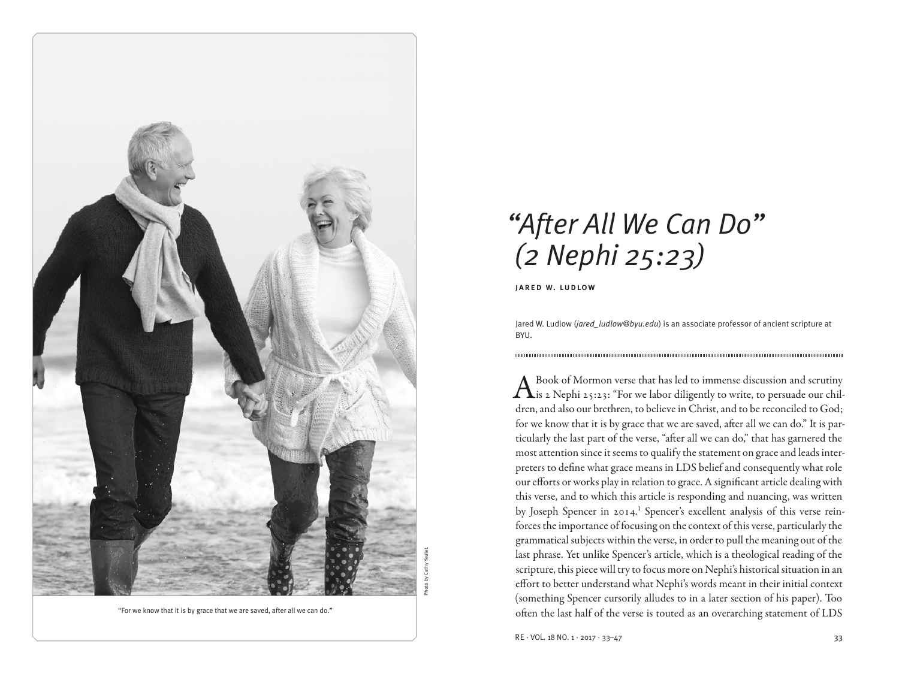

"For we know that it is by grace that we are saved, after all we can do."

# *"After All We Can Do" (2 Nephi 25:23)*

jared w. ludlow

Jared W. Ludlow (*jared\_ludlow@byu.edu*) is an associate professor of ancient scripture at BYU.

A Book of Mormon verse that has led to immense discussion and scrutiny<br>
is 2 Nephi 25:23: "For we labor diligently to write, to persuade our children, and also our brethren, to believe in Christ, and to be reconciled to God; for we know that it is by grace that we are saved, after all we can do." It is particularly the last part of the verse, "after all we can do," that has garnered the most attention since it seems to qualify the statement on grace and leads interpreters to define what grace means in LDS belief and consequently what role our efforts or works play in relation to grace. A significant article dealing with this verse, and to which this article is responding and nuancing, was written by Joseph Spencer in 2014.<sup>1</sup> Spencer's excellent analysis of this verse reinforces the importance of focusing on the context of this verse, particularly the grammatical subjects within the verse, in order to pull the meaning out of the last phrase. Yet unlike Spencer's article, which is a theological reading of the scripture, this piece will try to focus more on Nephi's historical situation in an effort to better understand what Nephi's words meant in their initial context (something Spencer cursorily alludes to in a later section of his paper). Too often the last half of the verse is touted as an overarching statement of LDS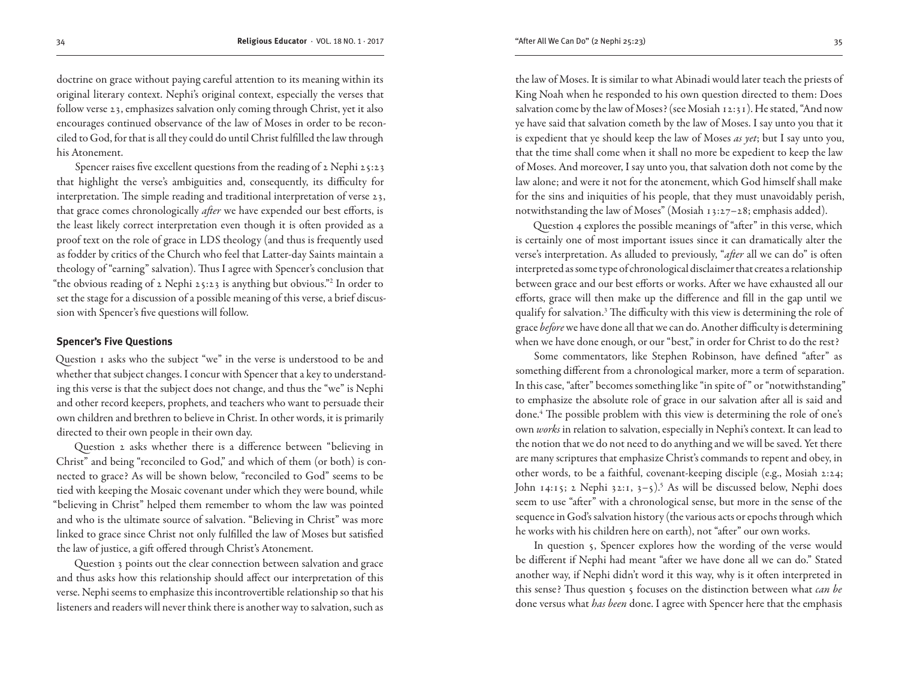doctrine on grace without paying careful attention to its meaning within its original literary context. Nephi's original context, especially the verses that follow verse 23, emphasizes salvation only coming through Christ, yet it also encourages continued observance of the law of Moses in order to be reconciled to God, for that is all they could do until Christ fulfilled the law through his Atonement.

Spencer raises five excellent questions from the reading of 2 Nephi 25:23 that highlight the verse's ambiguities and, consequently, its difficulty for interpretation. The simple reading and traditional interpretation of verse 23, that grace comes chronologically *after* we have expended our best efforts, is the least likely correct interpretation even though it is often provided as a proof text on the role of grace in LDS theology (and thus is frequently used as fodder by critics of the Church who feel that Latter-day Saints maintain a theology of "earning" salvation). Thus I agree with Spencer's conclusion that "the obvious reading of 2 Nephi 25:23 is anything but obvious."2 In order to set the stage for a discussion of a possible meaning of this verse, a brief discussion with Spencer's five questions will follow.

## **Spencer's Five Questions**

Question 1 asks who the subject "we" in the verse is understood to be and whether that subject changes. I concur with Spencer that a key to understanding this verse is that the subject does not change, and thus the "we" is Nephi and other record keepers, prophets, and teachers who want to persuade their own children and brethren to believe in Christ. In other words, it is primarily directed to their own people in their own day.

Question 2 asks whether there is a difference between "believing in Christ" and being "reconciled to God," and which of them (or both) is connected to grace? As will be shown below, "reconciled to God" seems to be tied with keeping the Mosaic covenant under which they were bound, while "believing in Christ" helped them remember to whom the law was pointed and who is the ultimate source of salvation. "Believing in Christ" was more linked to grace since Christ not only fulfilled the law of Moses but satisfied the law of justice, a gift offered through Christ's Atonement.

Question 3 points out the clear connection between salvation and grace and thus asks how this relationship should affect our interpretation of this verse. Nephi seems to emphasize this incontrovertible relationship so that his listeners and readers will never think there is another way to salvation, such as

the law of Moses. It is similar to what Abinadi would later teach the priests of King Noah when he responded to his own question directed to them: Does salvation come by the law of Moses? (see Mosiah 12:31). He stated, "And now ye have said that salvation cometh by the law of Moses. I say unto you that it is expedient that ye should keep the law of Moses *as yet*; but I say unto you, that the time shall come when it shall no more be expedient to keep the law of Moses. And moreover, I say unto you, that salvation doth not come by the law alone; and were it not for the atonement, which God himself shall make for the sins and iniquities of his people, that they must unavoidably perish, notwithstanding the law of Moses" (Mosiah 13:27–28; emphasis added).

Question 4 explores the possible meanings of "after" in this verse, which is certainly one of most important issues since it can dramatically alter the verse's interpretation. As alluded to previously, "*after* all we can do" is often interpreted as some type of chronological disclaimer that creates a relationship between grace and our best efforts or works. After we have exhausted all our efforts, grace will then make up the difference and fill in the gap until we qualify for salvation.3 The difficulty with this view is determining the role of grace *before* we have done all that we can do. Another difficulty is determining when we have done enough, or our "best," in order for Christ to do the rest?

Some commentators, like Stephen Robinson, have defined "after" as something different from a chronological marker, more a term of separation. In this case, "after" becomes something like "in spite of " or "notwithstanding" to emphasize the absolute role of grace in our salvation after all is said and done.4 The possible problem with this view is determining the role of one's own *works* in relation to salvation, especially in Nephi's context. It can lead to the notion that we do not need to do anything and we will be saved. Yet there are many scriptures that emphasize Christ's commands to repent and obey, in other words, to be a faithful, covenant-keeping disciple (e.g., Mosiah 2:24; John  $14:15$ ; 2 Nephi 32:1, 3–5).<sup>5</sup> As will be discussed below, Nephi does seem to use "after" with a chronological sense, but more in the sense of the sequence in God's salvation history (the various acts or epochs through which he works with his children here on earth), not "after" our own works.

In question 5, Spencer explores how the wording of the verse would be different if Nephi had meant "after we have done all we can do." Stated another way, if Nephi didn't word it this way, why is it often interpreted in this sense? Thus question 5 focuses on the distinction between what *can be* done versus what *has been* done. I agree with Spencer here that the emphasis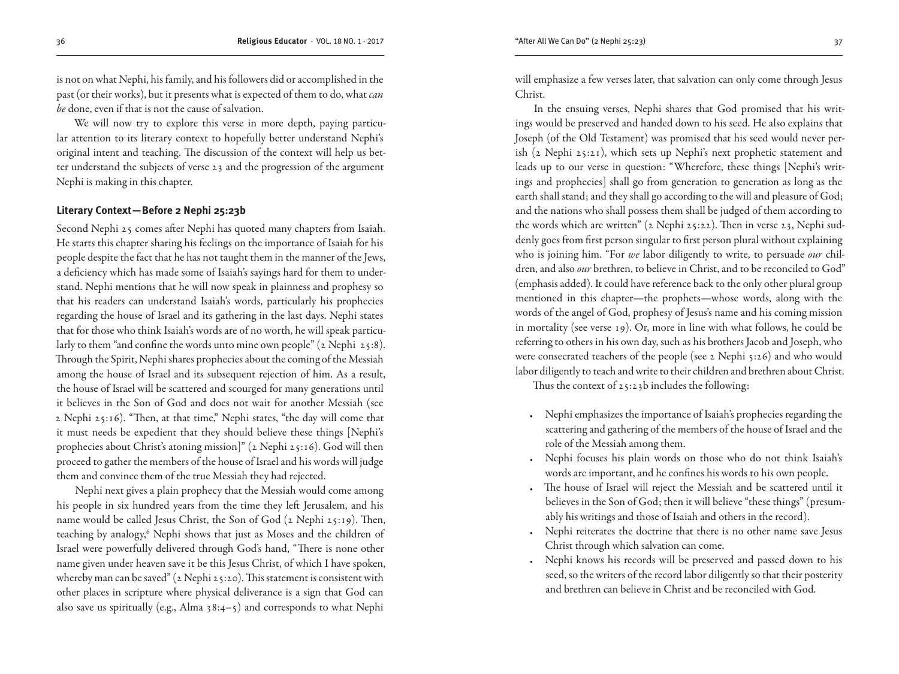is not on what Nephi, his family, and his followers did or accomplished in the past (or their works), but it presents what is expected of them to do, what *can be* done, even if that is not the cause of salvation.

We will now try to explore this verse in more depth, paying particular attention to its literary context to hopefully better understand Nephi's original intent and teaching. The discussion of the context will help us better understand the subjects of verse 23 and the progression of the argument Nephi is making in this chapter.

# **Literary Context—Before 2 Nephi 25:23b**

Second Nephi 25 comes after Nephi has quoted many chapters from Isaiah. He starts this chapter sharing his feelings on the importance of Isaiah for his people despite the fact that he has not taught them in the manner of the Jews, a deficiency which has made some of Isaiah's sayings hard for them to understand. Nephi mentions that he will now speak in plainness and prophesy so that his readers can understand Isaiah's words, particularly his prophecies regarding the house of Israel and its gathering in the last days. Nephi states that for those who think Isaiah's words are of no worth, he will speak particularly to them "and confine the words unto mine own people" (2 Nephi 25:8). Through the Spirit, Nephi shares prophecies about the coming of the Messiah among the house of Israel and its subsequent rejection of him. As a result, the house of Israel will be scattered and scourged for many generations until it believes in the Son of God and does not wait for another Messiah (see 2 Nephi 25:16). "Then, at that time," Nephi states, "the day will come that it must needs be expedient that they should believe these things [Nephi's prophecies about Christ's atoning mission]" (2 Nephi 25:16). God will then proceed to gather the members of the house of Israel and his words will judge them and convince them of the true Messiah they had rejected.

Nephi next gives a plain prophecy that the Messiah would come among his people in six hundred years from the time they left Jerusalem, and his name would be called Jesus Christ, the Son of God (2 Nephi 25:19). Then, teaching by analogy,<sup>6</sup> Nephi shows that just as Moses and the children of Israel were powerfully delivered through God's hand, "There is none other name given under heaven save it be this Jesus Christ, of which I have spoken, whereby man can be saved" (2 Nephi 25:20). This statement is consistent with other places in scripture where physical deliverance is a sign that God can also save us spiritually (e.g., Alma  $38:4-5$ ) and corresponds to what Nephi

will emphasize a few verses later, that salvation can only come through Jesus Christ.

In the ensuing verses, Nephi shares that God promised that his writings would be preserved and handed down to his seed. He also explains that Joseph (of the Old Testament) was promised that his seed would never perish (2 Nephi 25:21), which sets up Nephi's next prophetic statement and leads up to our verse in question: "Wherefore, these things [Nephi's writings and prophecies] shall go from generation to generation as long as the earth shall stand; and they shall go according to the will and pleasure of God; and the nations who shall possess them shall be judged of them according to the words which are written" (2 Nephi 25:22). Then in verse 23, Nephi suddenly goes from first person singular to first person plural without explaining who is joining him. "For *we* labor diligently to write, to persuade *our* children, and also *our* brethren, to believe in Christ, and to be reconciled to God" (emphasis added). It could have reference back to the only other plural group mentioned in this chapter—the prophets—whose words, along with the words of the angel of God, prophesy of Jesus's name and his coming mission in mortality (see verse 19). Or, more in line with what follows, he could be referring to others in his own day, such as his brothers Jacob and Joseph, who were consecrated teachers of the people (see 2 Nephi 5:26) and who would labor diligently to teach and write to their children and brethren about Christ.

Thus the context of 25:23b includes the following:

- Nephi emphasizes the importance of Isaiah's prophecies regarding the scattering and gathering of the members of the house of Israel and the role of the Messiah among them.
- Nephi focuses his plain words on those who do not think Isaiah's words are important, and he confines his words to his own people.
- The house of Israel will reject the Messiah and be scattered until it believes in the Son of God; then it will believe "these things" (presumably his writings and those of Isaiah and others in the record).
- Nephi reiterates the doctrine that there is no other name save Jesus Christ through which salvation can come.
- Nephi knows his records will be preserved and passed down to his seed, so the writers of the record labor diligently so that their posterity and brethren can believe in Christ and be reconciled with God.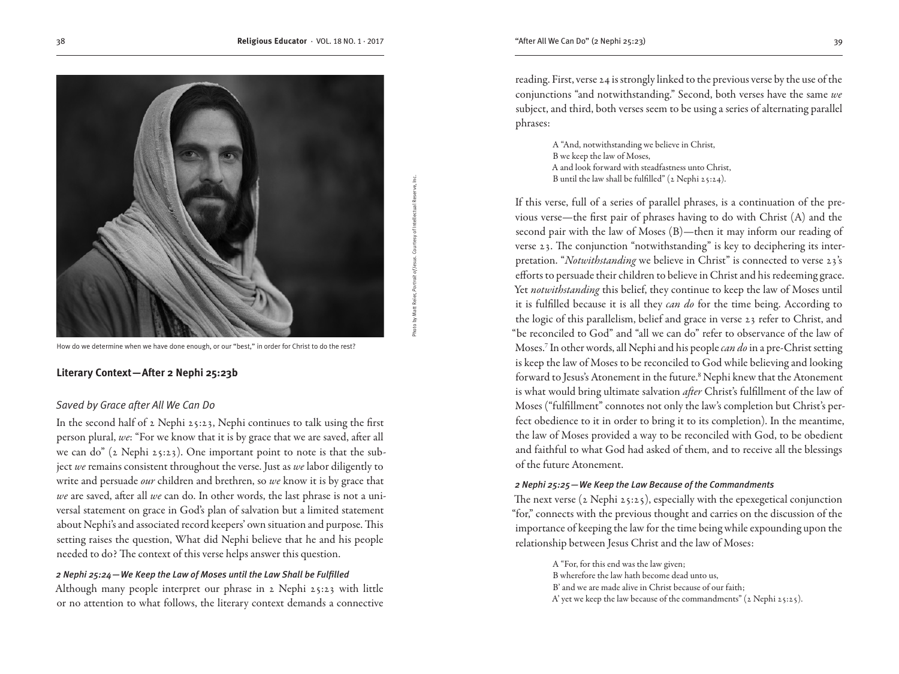Photo by Matt Reier, *Portrait of Jesus*. Courtesy of Intellectual Reserve, Inc.

How do we determine when we have done enough, or our "best," in order for Christ to do the rest?

# **Literary Context—After 2 Nephi 25:23b**

# *Saved by Grace after All We Can Do*

In the second half of 2 Nephi 25:23, Nephi continues to talk using the first person plural, *we*: "For we know that it is by grace that we are saved, after all we can do" (2 Nephi 25:23). One important point to note is that the subject *we* remains consistent throughout the verse. Just as *we* labor diligently to write and persuade *our* children and brethren, so *we* know it is by grace that *we* are saved, after all *we* can do. In other words, the last phrase is not a universal statement on grace in God's plan of salvation but a limited statement about Nephi's and associated record keepers' own situation and purpose. This setting raises the question, What did Nephi believe that he and his people needed to do? The context of this verse helps answer this question.

# *2 Nephi 25:24—We Keep the Law of Moses until the Law Shall be Fulfilled*

Although many people interpret our phrase in 2 Nephi 25:23 with little or no attention to what follows, the literary context demands a connective reading. First, verse 24 is strongly linked to the previous verse by the use of the conjunctions "and notwithstanding." Second, both verses have the same *we*  subject, and third, both verses seem to be using a series of alternating parallel phrases:

> A "And, notwithstanding we believe in Christ, B we keep the law of Moses, A and look forward with steadfastness unto Christ, B until the law shall be fulfilled" (2 Nephi 25:24).

If this verse, full of a series of parallel phrases, is a continuation of the previous verse—the first pair of phrases having to do with Christ (A) and the second pair with the law of Moses (B)—then it may inform our reading of verse 23. The conjunction "notwithstanding" is key to deciphering its interpretation. "*Notwithstanding* we believe in Christ" is connected to verse 23's efforts to persuade their children to believe in Christ and his redeeming grace. Yet *notwithstanding* this belief, they continue to keep the law of Moses until it is fulfilled because it is all they *can do* for the time being. According to the logic of this parallelism, belief and grace in verse 23 refer to Christ, and "be reconciled to God" and "all we can do" refer to observance of the law of Moses.7 In other words, all Nephi and his people *can do* in a pre-Christ setting is keep the law of Moses to be reconciled to God while believing and looking forward to Jesus's Atonement in the future.<sup>8</sup> Nephi knew that the Atonement is what would bring ultimate salvation *after* Christ's fulfillment of the law of Moses ("fulfillment" connotes not only the law's completion but Christ's perfect obedience to it in order to bring it to its completion). In the meantime, the law of Moses provided a way to be reconciled with God, to be obedient and faithful to what God had asked of them, and to receive all the blessings of the future Atonement.

## *2 Nephi 25:25—We Keep the Law Because of the Commandments*

The next verse (2 Nephi 25:25), especially with the epexegetical conjunction "for," connects with the previous thought and carries on the discussion of the importance of keeping the law for the time being while expounding upon the relationship between Jesus Christ and the law of Moses:

A "For, for this end was the law given;

- B wherefore the law hath become dead unto us,
- B' and we are made alive in Christ because of our faith;
- A' yet we keep the law because of the commandments" (2 Nephi 25:25).

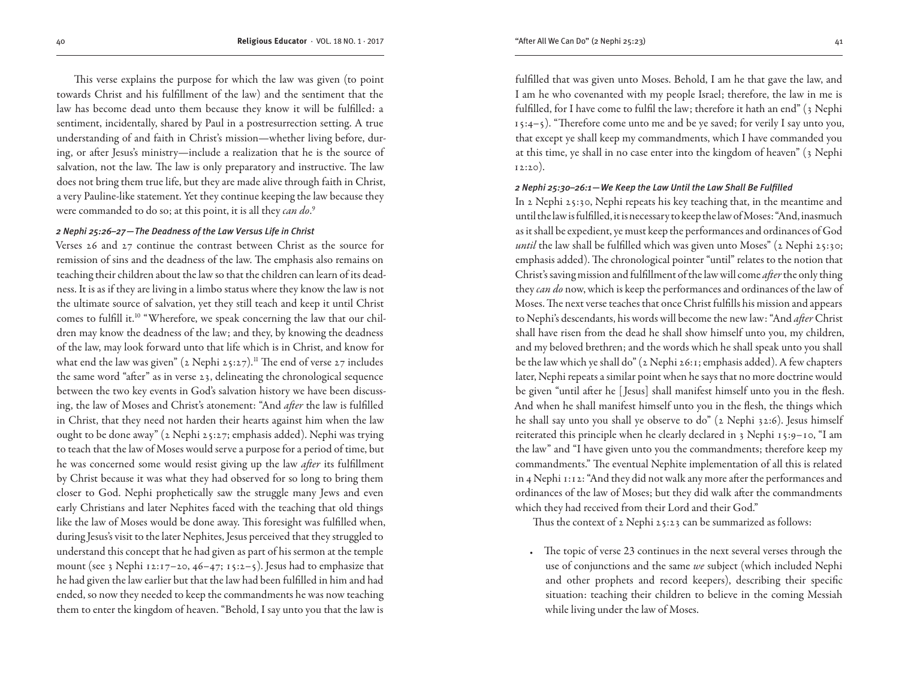This verse explains the purpose for which the law was given (to point towards Christ and his fulfillment of the law) and the sentiment that the law has become dead unto them because they know it will be fulfilled: a sentiment, incidentally, shared by Paul in a postresurrection setting. A true understanding of and faith in Christ's mission—whether living before, during, or after Jesus's ministry—include a realization that he is the source of salvation, not the law. The law is only preparatory and instructive. The law does not bring them true life, but they are made alive through faith in Christ, a very Pauline-like statement. Yet they continue keeping the law because they were commanded to do so; at this point, it is all they *can do*. 9

#### *2 Nephi 25:26–27—The Deadness of the Law Versus Life in Christ*

Verses 26 and 27 continue the contrast between Christ as the source for remission of sins and the deadness of the law. The emphasis also remains on teaching their children about the law so that the children can learn of its deadness. It is as if they are living in a limbo status where they know the law is not the ultimate source of salvation, yet they still teach and keep it until Christ comes to fulfill it.<sup>10</sup> "Wherefore, we speak concerning the law that our children may know the deadness of the law; and they, by knowing the deadness of the law, may look forward unto that life which is in Christ, and know for what end the law was given" (2 Nephi 25:27).<sup>11</sup> The end of verse 27 includes the same word "after" as in verse 23, delineating the chronological sequence between the two key events in God's salvation history we have been discussing, the law of Moses and Christ's atonement: "And *after* the law is fulfilled in Christ, that they need not harden their hearts against him when the law ought to be done away" (2 Nephi 25:27; emphasis added). Nephi was trying to teach that the law of Moses would serve a purpose for a period of time, but he was concerned some would resist giving up the law *after* its fulfillment by Christ because it was what they had observed for so long to bring them closer to God. Nephi prophetically saw the struggle many Jews and even early Christians and later Nephites faced with the teaching that old things like the law of Moses would be done away. This foresight was fulfilled when, during Jesus's visit to the later Nephites, Jesus perceived that they struggled to understand this concept that he had given as part of his sermon at the temple mount (see 3 Nephi 12:17-20, 46-47; 15:2-5). Jesus had to emphasize that he had given the law earlier but that the law had been fulfilled in him and had ended, so now they needed to keep the commandments he was now teaching them to enter the kingdom of heaven. "Behold, I say unto you that the law is

fulfilled that was given unto Moses. Behold, I am he that gave the law, and I am he who covenanted with my people Israel; therefore, the law in me is fulfilled, for I have come to fulfil the law; therefore it hath an end" (3 Nephi 15:4–5). "Therefore come unto me and be ye saved; for verily I say unto you, that except ye shall keep my commandments, which I have commanded you at this time, ye shall in no case enter into the kingdom of heaven" (3 Nephi 12:20).

#### *2 Nephi 25:30–26:1—We Keep the Law Until the Law Shall Be Fulfilled*

In 2 Nephi 25:30, Nephi repeats his key teaching that, in the meantime and until the law is fulfilled, it is necessary to keep the law of Moses: "And, inasmuch as it shall be expedient, ye must keep the performances and ordinances of God *until* the law shall be fulfilled which was given unto Moses" (2 Nephi 25:30; emphasis added). The chronological pointer "until" relates to the notion that Christ's saving mission and fulfillment of the law will come *after* the only thing they *can do* now, which is keep the performances and ordinances of the law of Moses. The next verse teaches that once Christ fulfills his mission and appears to Nephi's descendants, his words will become the new law: "And *after* Christ shall have risen from the dead he shall show himself unto you, my children, and my beloved brethren; and the words which he shall speak unto you shall be the law which ye shall do" (2 Nephi 26:1; emphasis added). A few chapters later, Nephi repeats a similar point when he says that no more doctrine would be given "until after he [ Jesus] shall manifest himself unto you in the flesh. And when he shall manifest himself unto you in the flesh, the things which he shall say unto you shall ye observe to do" (2 Nephi 32:6). Jesus himself reiterated this principle when he clearly declared in 3 Nephi 15:9–10, "I am the law" and "I have given unto you the commandments; therefore keep my commandments." The eventual Nephite implementation of all this is related in 4 Nephi 1:12: "And they did not walk any more after the performances and ordinances of the law of Moses; but they did walk after the commandments which they had received from their Lord and their God."

Thus the context of 2 Nephi 25:23 can be summarized as follows:

• The topic of verse 23 continues in the next several verses through the use of conjunctions and the same *we* subject (which included Nephi and other prophets and record keepers), describing their specific situation: teaching their children to believe in the coming Messiah while living under the law of Moses.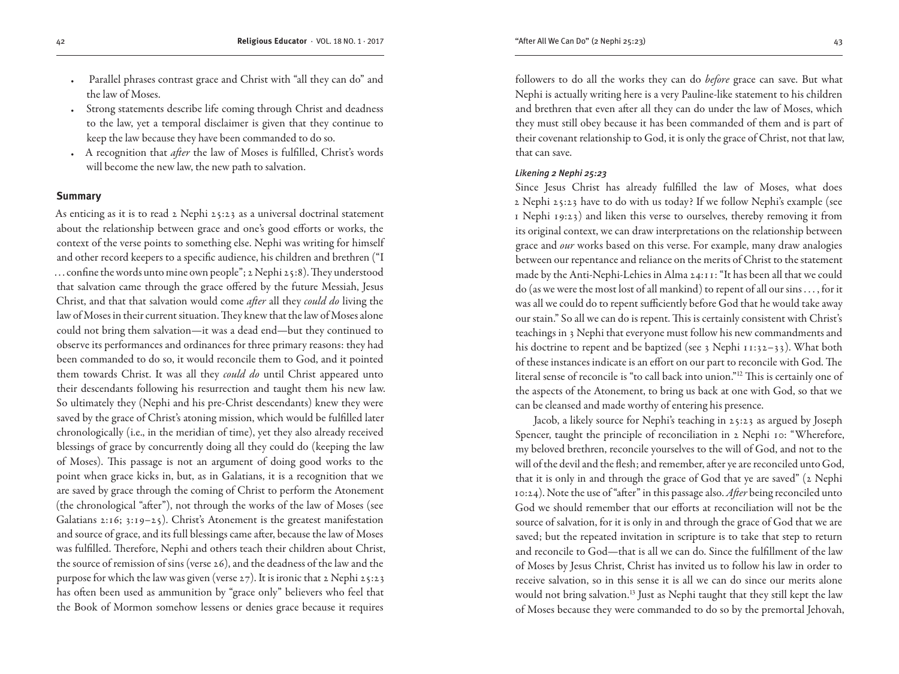- Parallel phrases contrast grace and Christ with "all they can do" and the law of Moses.
- Strong statements describe life coming through Christ and deadness to the law, yet a temporal disclaimer is given that they continue to keep the law because they have been commanded to do so.
- A recognition that *after* the law of Moses is fulfilled, Christ's words will become the new law, the new path to salvation.

#### **Summary**

As enticing as it is to read 2 Nephi 25:23 as a universal doctrinal statement about the relationship between grace and one's good efforts or works, the context of the verse points to something else. Nephi was writing for himself and other record keepers to a specific audience, his children and brethren ("I ... confine the words unto mine own people"; 2 Nephi 25:8). They understood that salvation came through the grace offered by the future Messiah, Jesus Christ, and that that salvation would come *after* all they *could do* living the law of Moses in their current situation. They knew that the law of Moses alone could not bring them salvation—it was a dead end—but they continued to observe its performances and ordinances for three primary reasons: they had been commanded to do so, it would reconcile them to God, and it pointed them towards Christ. It was all they *could do* until Christ appeared unto their descendants following his resurrection and taught them his new law. So ultimately they (Nephi and his pre-Christ descendants) knew they were saved by the grace of Christ's atoning mission, which would be fulfilled later chronologically (i.e., in the meridian of time), yet they also already received blessings of grace by concurrently doing all they could do (keeping the law of Moses). This passage is not an argument of doing good works to the point when grace kicks in, but, as in Galatians, it is a recognition that we are saved by grace through the coming of Christ to perform the Atonement (the chronological "after"), not through the works of the law of Moses (see Galatians 2:16; 3:19–25). Christ's Atonement is the greatest manifestation and source of grace, and its full blessings came after, because the law of Moses was fulfilled. Therefore, Nephi and others teach their children about Christ, the source of remission of sins (verse 26), and the deadness of the law and the purpose for which the law was given (verse 27). It is ironic that 2 Nephi 25:23 has often been used as ammunition by "grace only" believers who feel that the Book of Mormon somehow lessens or denies grace because it requires

followers to do all the works they can do *before* grace can save. But what Nephi is actually writing here is a very Pauline-like statement to his children and brethren that even after all they can do under the law of Moses, which they must still obey because it has been commanded of them and is part of their covenant relationship to God, it is only the grace of Christ, not that law, that can save.

## *Likening 2 Nephi 25:23*

Since Jesus Christ has already fulfilled the law of Moses, what does 2 Nephi 25:23 have to do with us today? If we follow Nephi's example (see 1 Nephi 19:23) and liken this verse to ourselves, thereby removing it from its original context, we can draw interpretations on the relationship between grace and *our* works based on this verse. For example, many draw analogies between our repentance and reliance on the merits of Christ to the statement made by the Anti-Nephi-Lehies in Alma 24:11: "It has been all that we could do (as we were the most lost of all mankind) to repent of all our sins . . . , for it was all we could do to repent sufficiently before God that he would take away our stain." So all we can do is repent. This is certainly consistent with Christ's teachings in 3 Nephi that everyone must follow his new commandments and his doctrine to repent and be baptized (see 3 Nephi  $11:32-33$ ). What both of these instances indicate is an effort on our part to reconcile with God. The literal sense of reconcile is "to call back into union."12 This is certainly one of the aspects of the Atonement, to bring us back at one with God, so that we can be cleansed and made worthy of entering his presence.

Jacob, a likely source for Nephi's teaching in 25:23 as argued by Joseph Spencer, taught the principle of reconciliation in 2 Nephi 10: "Wherefore, my beloved brethren, reconcile yourselves to the will of God, and not to the will of the devil and the flesh; and remember, after ye are reconciled unto God, that it is only in and through the grace of God that ye are saved" (2 Nephi 10:24). Note the use of "after" in this passage also. *After* being reconciled unto God we should remember that our efforts at reconciliation will not be the source of salvation, for it is only in and through the grace of God that we are saved; but the repeated invitation in scripture is to take that step to return and reconcile to God—that is all we can do. Since the fulfillment of the law of Moses by Jesus Christ, Christ has invited us to follow his law in order to receive salvation, so in this sense it is all we can do since our merits alone would not bring salvation.<sup>13</sup> Just as Nephi taught that they still kept the law of Moses because they were commanded to do so by the premortal Jehovah,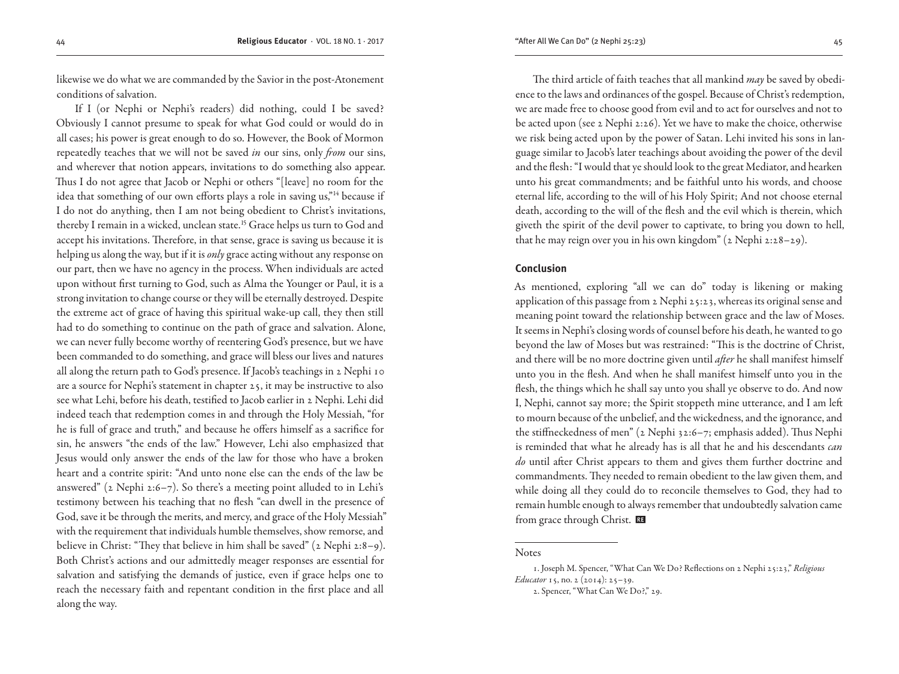likewise we do what we are commanded by the Savior in the post-Atonement conditions of salvation.

If I (or Nephi or Nephi's readers) did nothing, could I be saved? Obviously I cannot presume to speak for what God could or would do in all cases; his power is great enough to do so. However, the Book of Mormon repeatedly teaches that we will not be saved *in* our sins, only *from* our sins, and wherever that notion appears, invitations to do something also appear. Thus I do not agree that Jacob or Nephi or others "[leave] no room for the idea that something of our own efforts plays a role in saving us,"<sup>14</sup> because if I do not do anything, then I am not being obedient to Christ's invitations, thereby I remain in a wicked, unclean state.<sup>15</sup> Grace helps us turn to God and accept his invitations. Therefore, in that sense, grace is saving us because it is helping us along the way, but if it is *only* grace acting without any response on our part, then we have no agency in the process. When individuals are acted upon without first turning to God, such as Alma the Younger or Paul, it is a strong invitation to change course or they will be eternally destroyed. Despite the extreme act of grace of having this spiritual wake-up call, they then still had to do something to continue on the path of grace and salvation. Alone, we can never fully become worthy of reentering God's presence, but we have been commanded to do something, and grace will bless our lives and natures all along the return path to God's presence. If Jacob's teachings in 2 Nephi 10 are a source for Nephi's statement in chapter 25, it may be instructive to also see what Lehi, before his death, testified to Jacob earlier in 2 Nephi. Lehi did indeed teach that redemption comes in and through the Holy Messiah, "for he is full of grace and truth," and because he offers himself as a sacrifice for sin, he answers "the ends of the law." However, Lehi also emphasized that Jesus would only answer the ends of the law for those who have a broken heart and a contrite spirit: "And unto none else can the ends of the law be answered" ( $2$  Nephi  $2:6-7$ ). So there's a meeting point alluded to in Lehi's testimony between his teaching that no flesh "can dwell in the presence of God, save it be through the merits, and mercy, and grace of the Holy Messiah" with the requirement that individuals humble themselves, show remorse, and believe in Christ: "They that believe in him shall be saved" (2 Nephi 2:8–9). Both Christ's actions and our admittedly meager responses are essential for salvation and satisfying the demands of justice, even if grace helps one to reach the necessary faith and repentant condition in the first place and all along the way.

The third article of faith teaches that all mankind *may* be saved by obedience to the laws and ordinances of the gospel. Because of Christ's redemption, we are made free to choose good from evil and to act for ourselves and not to be acted upon (see 2 Nephi 2:26). Yet we have to make the choice, otherwise we risk being acted upon by the power of Satan. Lehi invited his sons in language similar to Jacob's later teachings about avoiding the power of the devil and the flesh: "I would that ye should look to the great Mediator, and hearken unto his great commandments; and be faithful unto his words, and choose eternal life, according to the will of his Holy Spirit; And not choose eternal death, according to the will of the flesh and the evil which is therein, which giveth the spirit of the devil power to captivate, to bring you down to hell, that he may reign over you in his own kingdom" (2 Nephi 2:28–29).

## **Conclusion**

As mentioned, exploring "all we can do" today is likening or making application of this passage from 2 Nephi 25:23, whereas its original sense and meaning point toward the relationship between grace and the law of Moses. It seems in Nephi's closing words of counsel before his death, he wanted to go beyond the law of Moses but was restrained: "This is the doctrine of Christ, and there will be no more doctrine given until *after* he shall manifest himself unto you in the flesh. And when he shall manifest himself unto you in the flesh, the things which he shall say unto you shall ye observe to do. And now I, Nephi, cannot say more; the Spirit stoppeth mine utterance, and I am left to mourn because of the unbelief, and the wickedness, and the ignorance, and the stiffneckedness of men" (2 Nephi 32:6–7; emphasis added). Thus Nephi is reminded that what he already has is all that he and his descendants *can do* until after Christ appears to them and gives them further doctrine and commandments. They needed to remain obedient to the law given them, and while doing all they could do to reconcile themselves to God, they had to remain humble enough to always remember that undoubtedly salvation came from grace through Christ.

## **Notes**

<sup>1.</sup> Joseph M. Spencer, "What Can We Do? Reflections on 2 Nephi 25:23," *Religious Educator* 15, no. 2 (2014): 25–39.

<sup>2.</sup> Spencer, "What Can We Do?," 29.